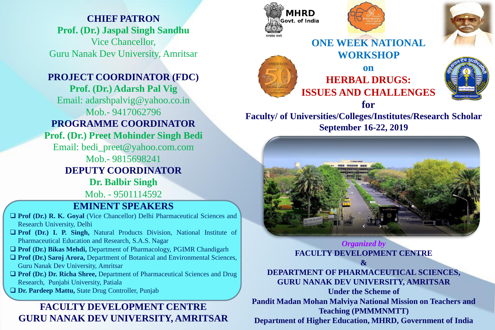**CHIEF PATRON Prof. (Dr.) Jaspal Singh Sandhu** Vice Chancellor, Guru Nanak Dev University, Amritsar

## **PROJECT COORDINATOR (FDC)**

**Prof. (Dr.) Adarsh Pal Vig** Email: adarshpalvig@yahoo.co.in Mob.- 9417062796 **PROGRAMME COORDINATOR Prof. (Dr.) Preet Mohinder Singh Bedi** Email: bedi\_preet@yahoo.com.com Mob.- 9815698241 **DEPUTY COORDINATOR Dr. Balbir Singh** Mob. - 9501114592

**EMINENT SPEAKERS**

- ❑ **Prof (Dr.) R. K. Goyal** (Vice Chancellor) Delhi Pharmaceutical Sciences and Research University, Delhi
- ❑ **Prof (Dr.) I. P. Singh,** Natural Products Division, National Institute of Pharmaceutical Education and Research, S.A.S. Nagar
- ❑ **Prof (Dr.) Bikas Mehdi,** Department of Pharmacology, PGIMR Chandigarh
- ❑ **Prof (Dr.) Saroj Arora,** Department of Botanical and Environmental Sciences, Guru Nanak Dev University, Amritsar
- ❑ **Prof (Dr.) Dr. Richa Shree,** Department of Pharmaceutical Sciences and Drug Research, Punjabi University, Patiala
- ❑ **Dr. Pardeep Mattu,** State Drug Controller, Punjab

# **FACULTY DEVELOPMENT CENTRE GURU NANAK DEV UNIVERSITY, AMRITSAR**











**Faculty/ of Universities/Colleges/Institutes/Research Scholar September 16-22, 2019**



## *Organized by*  **FACULTY DEVELOPMENT CENTRE**

## **&**

## **DEPARTMENT OF PHARMACEUTICAL SCIENCES, GURU NANAK DEV UNIVERSITY, AMRITSAR**

**Under the Scheme of Pandit Madan Mohan Malviya National Mission on Teachers and Teaching (PMMMNMTT) Department of Higher Education, MHRD, Government of India**